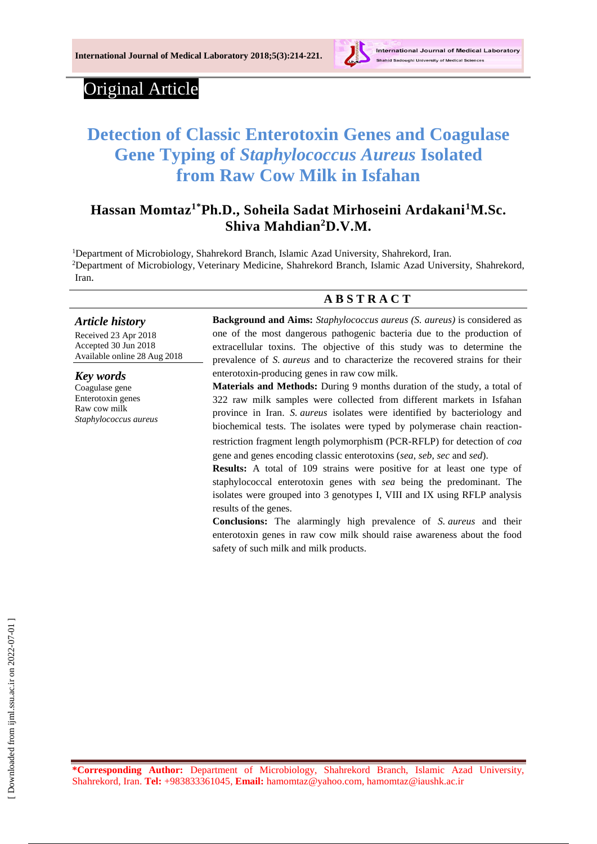

# Original Article

# **Detection of Classic Enterotoxin Genes and Coagulase Gene Typing of** *Staphylococcus Aureus* **Isolated from Raw Cow Milk in Isfahan**

# **Hassan Momtaz1\*Ph.D., Soheila Sadat Mirhoseini Ardakani<sup>1</sup>M.Sc. Shiva Mahdian<sup>2</sup>D.V.M.**

<sup>1</sup>Department of Microbiology, Shahrekord Branch, Islamic Azad University, Shahrekord, Iran. <sup>2</sup>Department of Microbiology, Veterinary Medicine, Shahrekord Branch, Islamic Azad University, Shahrekord, Iran.

#### **A B S T R A C T**

#### *Article history*

Received 23 Apr 2018 Accepted 30 Jun 2018 Available online 28 Aug 2018

*Key words* Coagulase gene Enterotoxin genes Raw cow milk *Staphylococcus aureus*

**Background and Aims:** *Staphylococcus aureus (S. aureus)* is considered as one of the most dangerous pathogenic bacteria due to the production of extracellular toxins. The objective of this study was to determine the prevalence of *S. aureus* and to characterize the recovered strains for their enterotoxin-producing genes in raw cow milk.

**Materials and Methods:** During 9 months duration of the study, a total of 322 raw milk samples were collected from different markets in Isfahan province in Iran. *S. aureus* isolates were identified by bacteriology and biochemical tests. The isolates were typed by polymerase chain reactionrestriction fragment length polymorphism (PCR-RFLP) for detection of *coa*  gene and genes encoding classic enterotoxins (*sea*, *seb*, *sec* and *sed*).

**Results:** A total of 109 strains were positive for at least one type of staphylococcal enterotoxin genes with *sea* being the predominant. The isolates were grouped into 3 genotypes I, VIII and IX using RFLP analysis results of the genes.

**Conclusions:** The alarmingly high prevalence of *S. aureus* and their enterotoxin genes in raw cow milk should raise awareness about the food safety of such milk and milk products.

**\*Corresponding Author:** Department of Microbiology, Shahrekord Branch, Islamic Azad University, Shahrekord, Iran. **Tel:** +983833361045, **Email:** [hamomtaz@yahoo.com,](mailto:hamomtaz@yahoo.com) hamomtaz@iaushk.ac.ir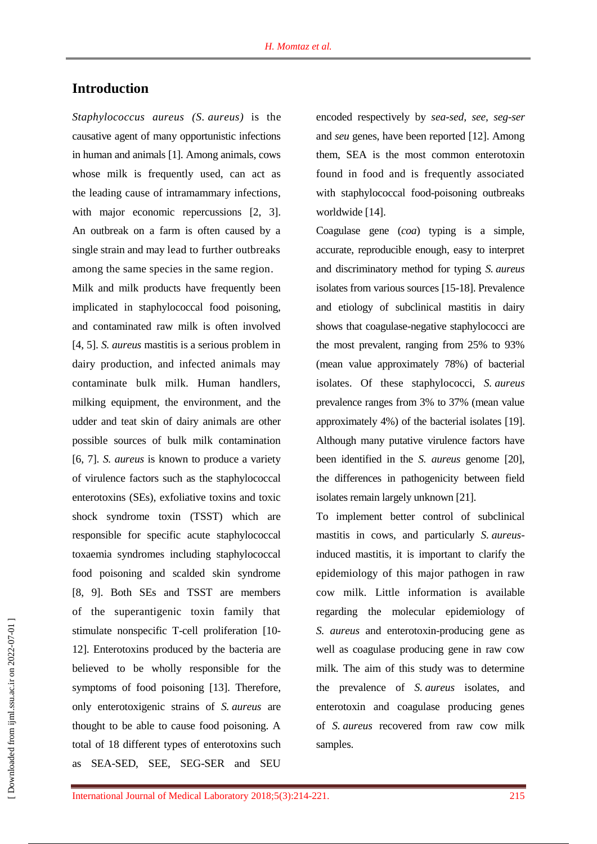# **Introduction**

*Staphylococcus aureus (S. aureus)* is the causative agent of many opportunistic infections in human and animals [1]. Among animals, cows whose milk is frequently used, can act as the leading cause of intramammary infections, with major economic repercussions [2, 3]. An outbreak on a farm is often caused by a single strain and may lead to further outbreaks among the same species in the same region.

Milk and milk products have frequently been implicated in staphylococcal food poisoning, and contaminated raw milk is often involved [4, 5]. *S. aureus* mastitis is a serious problem in dairy production, and infected animals may contaminate bulk milk. Human handlers, milking equipment, the environment, and the udder and teat skin of dairy animals are other possible sources of bulk milk contamination [6, 7]. *S. aureus* is known to produce a variety of virulence factors such as the staphylococcal enterotoxins (SEs), exfoliative toxins and toxic shock syndrome toxin (TSST) which are responsible for specific acute staphylococcal toxaemia syndromes including staphylococcal food poisoning and scalded skin syndrome [8, 9]. Both SEs and TSST are members of the superantigenic toxin family that stimulate nonspecific T-cell proliferation [10- 12]. Enterotoxins produced by the bacteria are believed to be wholly responsible for the symptoms of food poisoning [13]. Therefore, only enterotoxigenic strains of *S. aureus* are thought to be able to cause food poisoning. A total of 18 different types of enterotoxins such as SEA-SED, SEE, SEG-SER and SEU

encoded respectively by *sea-sed, see, seg-ser*  and *seu* genes, have been reported [12]. Among them, SEA is the most common enterotoxin found in food and is frequently associated with staphylococcal food-poisoning outbreaks worldwide [14].

Coagulase gene (*coa*) typing is a simple, accurate, reproducible enough, easy to interpret and discriminatory method for typing *S. aureus* isolates from various sources [15-18]. Prevalence and etiology of subclinical mastitis in dairy shows that coagulase-negative staphylococci are the most prevalent, ranging from 25% to 93% (mean value approximately 78%) of bacterial isolates. Of these staphylococci, *S. aureus* prevalence ranges from 3% to 37% (mean value approximately 4%) of the bacterial isolates [19]. Although many putative virulence factors have been identified in the *S. aureus* genome [20], the differences in pathogenicity between field isolates remain largely unknown [21].

To implement better control of subclinical mastitis in cows, and particularly *S. aureus*induced mastitis, it is important to clarify the epidemiology of this major pathogen in raw cow milk. Little information is available regarding the molecular epidemiology of *S. aureus* and enterotoxin-producing gene as well as coagulase producing gene in raw cow milk. The aim of this study was to determine the prevalence of *S. aureus* isolates, and enterotoxin and coagulase producing genes of *S. aureus* recovered from raw cow milk samples.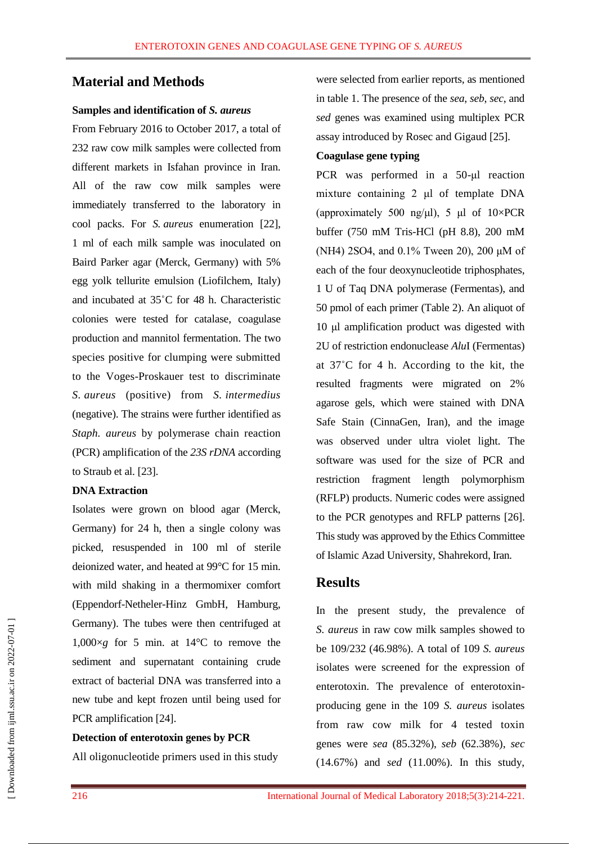## **Material and Methods**

#### **Samples and identification of** *S. aureus*

From February 2016 to October 2017, a total of 232 raw cow milk samples were collected from different markets in Isfahan province in Iran. All of the raw cow milk samples were immediately transferred to the laboratory in cool packs. For *S. aureus* enumeration [22], 1 ml of each milk sample was inoculated on Baird Parker agar (Merck, Germany) with 5% egg yolk tellurite emulsion (Liofilchem, Italy) and incubated at 35˚C for 48 h. Characteristic colonies were tested for catalase, coagulase production and mannitol fermentation. The two species positive for clumping were submitted to the Voges-Proskauer test to discriminate *S. aureus* (positive) from *S. intermedius* (negative). The strains were further identified as *Staph. aureus* by polymerase chain reaction (PCR) amplification of the *23S rDNA* according to Straub et al. [23].

#### **DNA Extraction**

Isolates were grown on blood agar (Merck, Germany) for 24 h, then a single colony was picked, resuspended in 100 ml of sterile deionized water, and heated at 99°C for 15 min. with mild shaking in a thermomixer comfort (Eppendorf-Netheler-Hinz GmbH, Hamburg, Germany). The tubes were then centrifuged at  $1,000\times g$  for 5 min. at 14<sup>o</sup>C to remove the sediment and supernatant containing crude extract of bacterial DNA was transferred into a new tube and kept frozen until being used for PCR amplification [24].

#### **Detection of enterotoxin genes by PCR**

All oligonucleotide primers used in this study

were selected from earlier reports, as mentioned in table 1. The presence of the *sea*, *seb*, *sec*, and *sed* genes was examined using multiplex PCR assay introduced by Rosec and Gigaud [25].

#### **Coagulase gene typing**

PCR was performed in a 50-μl reaction mixture containing 2 μl of template DNA (approximately 500 ng/μl), 5 μl of  $10 \times PCR$ buffer (750 mM Tris-HCl (pH 8.8), 200 mM (NH4) 2SO4, and 0.1% Tween 20), 200 μM of each of the four deoxynucleotide triphosphates, 1 U of Taq DNA polymerase (Fermentas), and 50 pmol of each primer (Table 2). An aliquot of 10 μl amplification product was digested with 2U of restriction endonuclease *Alu*I (Fermentas) at 37˚C for 4 h. According to the kit, the resulted fragments were migrated on 2% agarose gels, which were stained with DNA Safe Stain (CinnaGen, Iran), and the image was observed under ultra violet light. The software was used for the size of PCR and restriction fragment length polymorphism (RFLP) products. Numeric codes were assigned to the PCR genotypes and RFLP patterns [26]. This study was approved by the Ethics Committee of Islamic Azad University, Shahrekord, Iran.

### **Results**

In the present study, the prevalence of *S. aureus* in raw cow milk samples showed to be 109/232 (46.98%). A total of 109 *S. aureus*  isolates were screened for the expression of enterotoxin. The prevalence of enterotoxinproducing gene in the 109 *S. aureus* isolates from raw cow milk for 4 tested toxin genes were *sea* (85.32%), *seb* (62.38%), *sec* (14.67%) and *sed* (11.00%). In this study,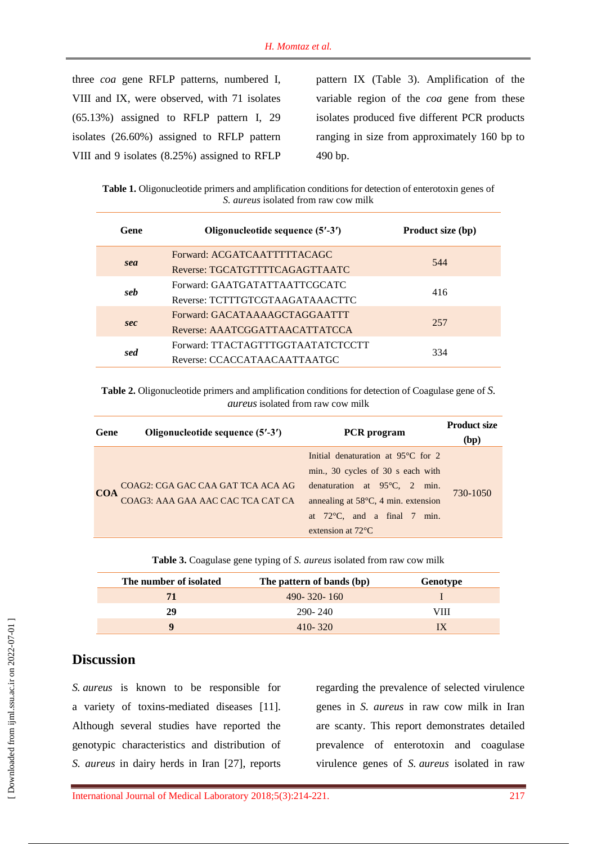three *coa* gene RFLP patterns, numbered I, VIII and IX, were observed, with 71 isolates (65.13%) assigned to RFLP pattern I, 29 isolates (26.60%) assigned to RFLP pattern VIII and 9 isolates (8.25%) assigned to RFLP pattern IX (Table 3). Amplification of the variable region of the *coa* gene from these isolates produced five different PCR products ranging in size from approximately 160 bp to 490 bp.

**Table 1.** Oligonucleotide primers and amplification conditions for detection of enterotoxin genes of *S. aureus* isolated from raw cow milk

| Gene | Oligonucleotide sequence (5'-3')  | Product size (bp) |
|------|-----------------------------------|-------------------|
|      | Forward: ACGATCAATTTTTACAGC       | 544               |
| sea  | Reverse: TGCATGTTTTCAGAGTTAATC    |                   |
| seb  | Forward: GAATGATATTAATTCGCATC     | 416               |
|      | Reverse: TCTTTGTCGTAAGATAAACTTC   |                   |
|      | Forward: GACATAAAAGCTAGGAATTT     |                   |
| sec  | Reverse: AAATCGGATTAACATTATCCA    | 257               |
| sed  | Forward: TTACTAGTTTGGTAATATCTCCTT | 334               |
|      | Reverse: CCACCATAACAATTAATGC      |                   |
|      |                                   |                   |

**Table 2.** Oligonucleotide primers and amplification conditions for detection of Coagulase gene of *S. aureus* isolated from raw cow milk

| Gene       | Oligonucleotide sequence (5'-3')                                       | <b>PCR</b> program                                                                                                                                                                                                                                   | <b>Product size</b><br>(bp) |
|------------|------------------------------------------------------------------------|------------------------------------------------------------------------------------------------------------------------------------------------------------------------------------------------------------------------------------------------------|-----------------------------|
| <b>COA</b> | COAG2: CGA GAC CAA GAT TCA ACA AG<br>COAG3: AAA GAA AAC CAC TCA CAT CA | Initial denaturation at $95^{\circ}$ C for 2<br>min., 30 cycles of 30 s each with<br>denaturation at $95^{\circ}$ C, 2 min.<br>annealing at $58^{\circ}$ C, 4 min. extension<br>at $72^{\circ}$ C, and a final 7 min.<br>extension at $72^{\circ}$ C | 730-1050                    |

| The number of isolated | The pattern of bands (bp) | Genotype |
|------------------------|---------------------------|----------|
| 71                     | $490 - 320 - 160$         |          |
| 29                     | 290-240                   | VIII     |
| o                      | $410 - 320$               |          |

# **Discussion**

*S. aureus* is known to be responsible for a variety of toxins-mediated diseases [11]. Although several studies have reported the genotypic characteristics and distribution of *S. aureus* in dairy herds in Iran [27], reports

regarding the prevalence of selected virulence genes in *S. aureus* in raw cow milk in Iran are scanty. This report demonstrates detailed prevalence of enterotoxin and coagulase virulence genes of *S. aureus* isolated in raw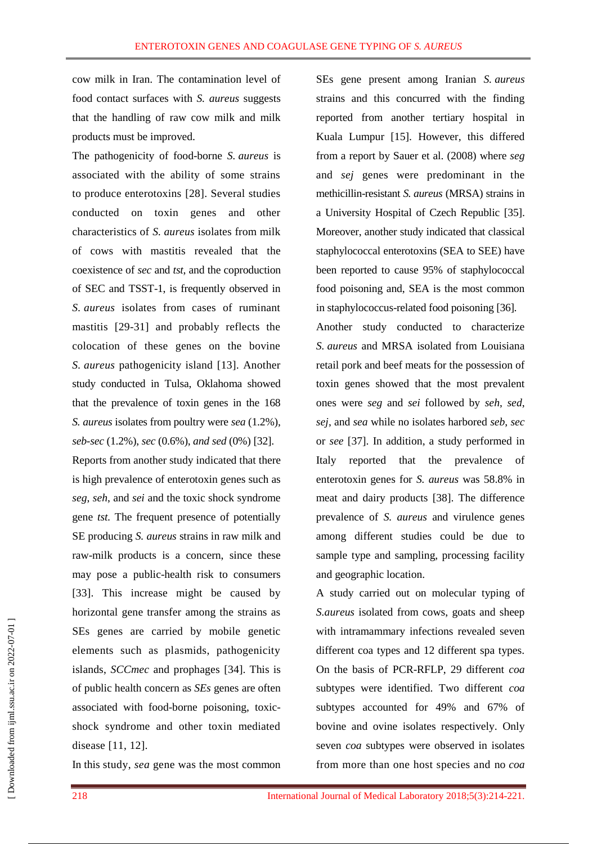cow milk in Iran. The contamination level of food contact surfaces with *S. aureus* suggests that the handling of raw cow milk and milk products must be improved.

The pathogenicity of food-borne *S. aureus* is associated with the ability of some strains to produce enterotoxins [28]. Several studies conducted on toxin genes and other characteristics of *S. aureus* isolates from milk of cows with mastitis revealed that the coexistence of *sec* and *tst*, and the coproduction of SEC and TSST-1, is frequently observed in *S. aureus* isolates from cases of ruminant mastitis [29-31] and probably reflects the colocation of these genes on the bovine *S. aureus* pathogenicity island [13]. Another study conducted in Tulsa, Oklahoma showed that the prevalence of toxin genes in the 168 *S. aureus* isolates from poultry were *sea* (1.2%), *seb-sec* (1.2%), *sec* (0.6%), *and sed* (0%) [32]. Reports from another study indicated that there is high prevalence of enterotoxin genes such as *seg*, *seh*, and *sei* and the toxic shock syndrome gene *tst.* The frequent presence of potentially SE producing *S. aureus* strains in raw milk and raw-milk products is a concern, since these may pose a public-health risk to consumers [33]. This increase might be caused by horizontal gene transfer among the strains as SEs genes are carried by mobile genetic elements such as plasmids, pathogenicity islands, *SCCmec* and prophages [34]. This is of public health concern as *SEs* genes are often associated with food-borne poisoning, toxicshock syndrome and other toxin mediated disease [11, 12].

In this study, *sea* gene was the most common

SEs gene present among Iranian *S. aureus* strains and this concurred with the finding reported from another tertiary hospital in Kuala Lumpur [15]. However, this differed from a report by Sauer et al. (2008) where *seg*  and *sej* genes were predominant in the methicillin-resistant *S. aureus* (MRSA) strains in a University Hospital of Czech Republic [35]. Moreover, another study indicated that classical staphylococcal enterotoxins (SEA to SEE) have been reported to cause 95% of staphylococcal food poisoning and, SEA is the most common in staphylococcus-related food poisoning [36].

Another study conducted to characterize *S. aureus* and MRSA isolated from Louisiana retail pork and beef meats for the possession of toxin genes showed that the most prevalent ones were *seg* and *sei* followed by *seh*, *sed*, *sej*, and *sea* while no isolates harbored *seb*, *sec*  or *see* [37]. In addition, a study performed in Italy reported that the prevalence of enterotoxin genes for *S. aureus* was 58.8% in meat and dairy products [38]. The difference prevalence of *S. aureus* and virulence genes among different studies could be due to sample type and sampling, processing facility and geographic location.

A study carried out on molecular typing of *S.aureus* isolated from cows, goats and sheep with intramammary infections revealed seven different coa types and 12 different spa types. On the basis of PCR-RFLP, 29 different *coa* subtypes were identified. Two different *coa*  subtypes accounted for 49% and 67% of bovine and ovine isolates respectively. Only seven *coa* subtypes were observed in isolates from more than one host species and no *coa*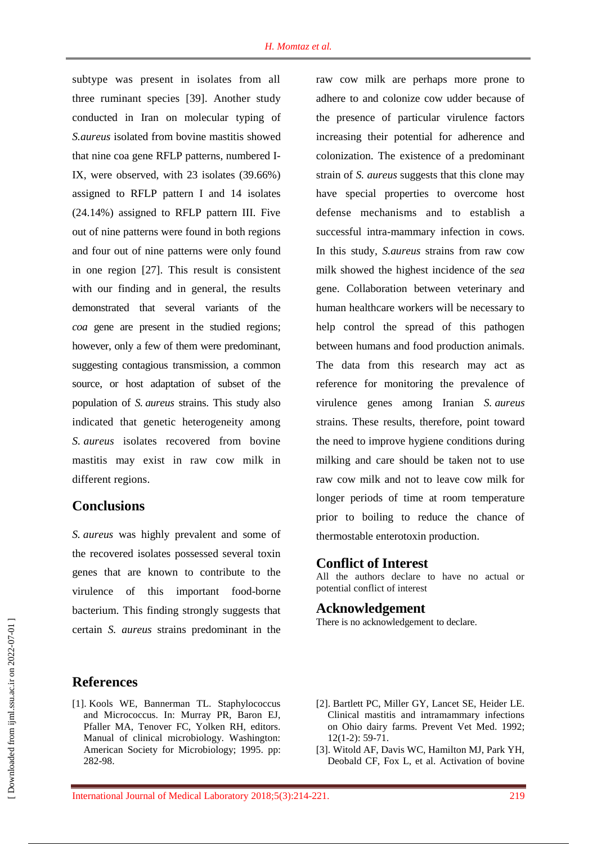subtype was present in isolates from all three ruminant species [39]. Another study conducted in Iran on molecular typing of *S.aureus* isolated from bovine mastitis showed that nine coa gene RFLP patterns, numbered I-IX, were observed, with 23 isolates (39.66%) assigned to RFLP pattern I and 14 isolates (24.14%) assigned to RFLP pattern III. Five out of nine patterns were found in both regions and four out of nine patterns were only found in one region [27]. This result is consistent with our finding and in general, the results demonstrated that several variants of the *coa* gene are present in the studied regions; however, only a few of them were predominant, suggesting contagious transmission, a common source, or host adaptation of subset of the population of *S. aureus* strains. This study also indicated that genetic heterogeneity among *S. aureus* isolates recovered from bovine mastitis may exist in raw cow milk in different regions.

# **Conclusions**

*S. aureus* was highly prevalent and some of the recovered isolates possessed several toxin genes that are known to contribute to the virulence of this important food-borne bacterium. This finding strongly suggests that certain *S. aureus* strains predominant in the

raw cow milk are perhaps more prone to adhere to and colonize cow udder because of the presence of particular virulence factors increasing their potential for adherence and colonization. The existence of a predominant strain of *S. aureus* suggests that this clone may have special properties to overcome host defense mechanisms and to establish a successful intra-mammary infection in cows. In this study, *S.aureus* strains from raw cow milk showed the highest incidence of the *sea*  gene. Collaboration between veterinary and human healthcare workers will be necessary to help control the spread of this pathogen between humans and food production animals. The data from this research may act as reference for monitoring the prevalence of virulence genes among Iranian *S. aureus* strains. These results, therefore, point toward the need to improve hygiene conditions during milking and care should be taken not to use raw cow milk and not to leave cow milk for longer periods of time at room temperature prior to boiling to reduce the chance of thermostable enterotoxin production.

#### **Conflict of Interest**

All the authors declare to have no actual or potential conflict of interest

### **Acknowledgement**

There is no acknowledgement to declare.

- [1]. Kools WE, Bannerman TL. Staphylococcus and Micrococcus. In: Murray PR, Baron EJ, Pfaller MA, Tenover FC, Yolken RH, editors. Manual of clinical microbiology. Washington: American Society for Microbiology; 1995. pp: 282-98.
- [2]. Bartlett PC, Miller GY, Lancet SE, Heider LE. Clinical mastitis and intramammary infections on Ohio dairy farms. Prevent Vet Med. 1992; 12(1-2): 59-71.
- [3]. Witold AF, Davis WC, Hamilton MJ, Park YH, Deobald CF, Fox L, et al. Activation of bovine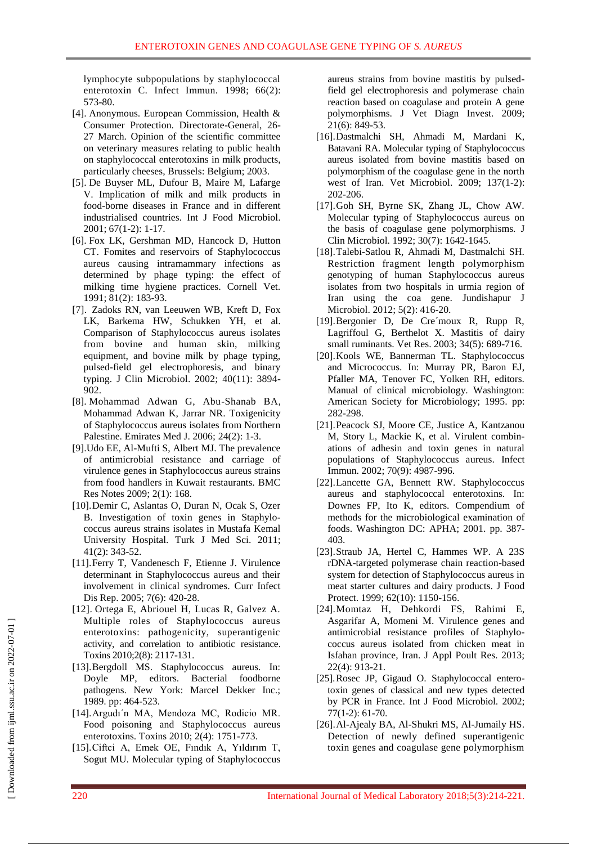lymphocyte subpopulations by staphylococcal enterotoxin C. Infect Immun. 1998; 66(2): 573-80.

- [4]. Anonymous. European Commission, Health & Consumer Protection. Directorate-General, 26- 27 March. Opinion of the scientific committee on veterinary measures relating to public health on staphylococcal enterotoxins in milk products, particularly cheeses, Brussels: Belgium; 2003.
- [5]. De Buyser ML, Dufour B, Maire M, Lafarge V. Implication of milk and milk products in food-borne diseases in France and in different industrialised countries. Int J Food Microbiol. 2001; 67(1-2): 1-17.
- [6]. Fox LK, Gershman MD, Hancock D, Hutton CT. Fomites and reservoirs of Staphylococcus aureus causing intramammary infections as determined by phage typing: the effect of milking time hygiene practices. Cornell Vet. 1991; 81(2): 183-93.
- [7]. Zadoks RN, van Leeuwen WB, Kreft D, Fox LK, Barkema HW, Schukken YH, et al. Comparison of Staphylococcus aureus isolates from bovine and human skin, milking equipment, and bovine milk by phage typing, pulsed-field gel electrophoresis, and binary typing. J Clin Microbiol. 2002; 40(11): 3894- 902.
- [8]. Mohammad Adwan G, Abu-Shanab BA, Mohammad Adwan K, Jarrar NR. Toxigenicity of Staphylococcus aureus isolates from Northern Palestine. Emirates Med J. 2006; 24(2): 1-3.
- [9].Udo EE, Al-Mufti S, Albert MJ. The prevalence of antimicrobial resistance and carriage of virulence genes in Staphylococcus aureus strains from food handlers in Kuwait restaurants. BMC Res Notes 2009; 2(1): 168.
- [10].Demir C, Aslantas O, Duran N, Ocak S, Ozer B. Investigation of toxin genes in Staphylococcus aureus strains isolates in Mustafa Kemal University Hospital. Turk J Med Sci. 2011; 41(2): 343-52.
- [11].Ferry T, Vandenesch F, Etienne J. Virulence determinant in Staphylococcus aureus and their involvement in clinical syndromes. Curr Infect Dis Rep. 2005; 7(6): 420-28.
- [12]. Ortega E, Abriouel H, Lucas R, Galvez A. Multiple roles of Staphylococcus aureus enterotoxins: pathogenicity, superantigenic activity, and correlation to antibiotic resistance. Toxins 2010;2(8): 2117-131.
- [13].Bergdoll MS. Staphylococcus aureus. In: Doyle MP, editors. Bacterial foodborne pathogens. New York: Marcel Dekker Inc.; 1989. pp: 464-523.
- [14].Argudı´n MA, Mendoza MC, Rodicio MR. Food poisoning and Staphylococcus aureus enterotoxins. Toxins 2010; 2(4): 1751-773.
- [15].Ciftci A, Emek OE, Fındık A, Yıldırım T, Sogut MU. Molecular typing of Staphylococcus

aureus strains from bovine mastitis by pulsedfield gel electrophoresis and polymerase chain reaction based on coagulase and protein A gene polymorphisms. J Vet Diagn Invest. 2009; 21(6): 849-53.

- [16].Dastmalchi SH, Ahmadi M, Mardani K, Batavani RA. Molecular typing of Staphylococcus aureus isolated from bovine mastitis based on polymorphism of the coagulase gene in the north west of Iran. Vet Microbiol. 2009; 137(1-2): 202-206.
- [17].Goh SH, Byrne SK, Zhang JL, Chow AW. Molecular typing of Staphylococcus aureus on the basis of coagulase gene polymorphisms. J Clin Microbiol. 1992; 30(7): 1642-1645.
- [18].Talebi-Satlou R, Ahmadi M, Dastmalchi SH. Restriction fragment length polymorphism genotyping of human Staphylococcus aureus isolates from two hospitals in urmia region of Iran using the coa gene. Jundishapur J Microbiol. 2012; 5(2): 416-20.
- [19].Bergonier D, De Cre´moux R, Rupp R, [Lagriffoul G,](http://www.ncbi.nlm.nih.gov/pubmed/?term=Lagriffoul%20G%5BAuthor%5D&cauthor=true&cauthor_uid=14556701) [Berthelot X.](http://www.ncbi.nlm.nih.gov/pubmed/?term=Berthelot%20X%5BAuthor%5D&cauthor=true&cauthor_uid=14556701) Mastitis of dairy small ruminants. Vet Res. 2003; 34(5): 689-716.
- [20].Kools WE, Bannerman TL. Staphylococcus and Micrococcus. In: Murray PR, Baron EJ, Pfaller MA, Tenover FC, Yolken RH, editors. Manual of clinical microbiology. Washington: American Society for Microbiology; 1995. pp: 282-298.
- [21].Peacock SJ, Moore CE, Justice A, Kantzanou M, Story L, Mackie K, et al. Virulent combinations of adhesin and toxin genes in natural populations of Staphylococcus aureus. Infect Immun. 2002; 70(9): 4987-996.
- [22].Lancette GA, Bennett RW. Staphylococcus aureus and staphylococcal enterotoxins. In: Downes FP, Ito K, editors. Compendium of methods for the microbiological examination of foods. Washington DC: APHA; 2001. pp. 387- 403.
- [23].Straub JA, Hertel C, Hammes WP. A 23S rDNA-targeted polymerase chain reaction-based system for detection of Staphylococcus aureus in meat starter cultures and dairy products. J Food Protect. 1999; 62(10): 1150-156.
- [24].Momtaz H, Dehkordi FS, Rahimi E, Asgarifar A, Momeni M. Virulence genes and antimicrobial resistance profiles of Staphylococcus aureus isolated from chicken meat in Isfahan province, Iran. J Appl Poult Res. 2013; 22(4): 913-21.
- [25].Rosec JP, Gigaud O. Staphylococcal enterotoxin genes of classical and new types detected by PCR in France. Int J Food Microbiol. 2002; 77(1-2): 61-70.
- [26].Al-Ajealy BA, Al-Shukri MS, Al-Jumaily HS. Detection of newly defined superantigenic toxin genes and coagulase gene polymorphism